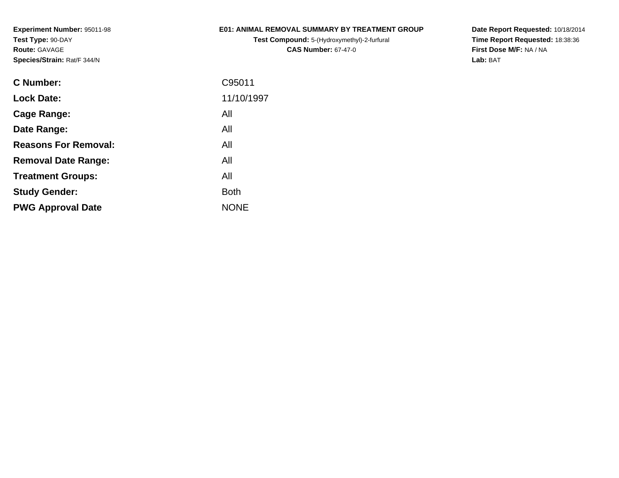## **E01: ANIMAL REMOVAL SUMMARY BY TREATMENT GROUP**

**Test Compound:** 5-(Hydroxymethyl)-2-furfural **CAS Number:** 67-47-0

| C95011      |
|-------------|
| 11/10/1997  |
| All         |
| All         |
| All         |
| All         |
| All         |
| <b>Both</b> |
| <b>NONE</b> |
|             |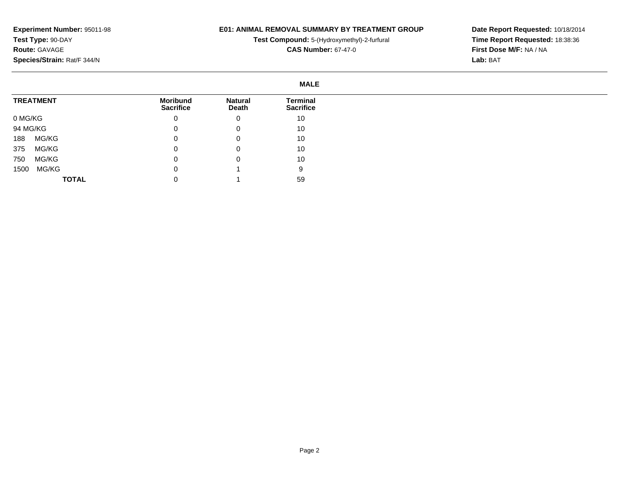## **E01: ANIMAL REMOVAL SUMMARY BY TREATMENT GROUP**

**Test Compound:** 5-(Hydroxymethyl)-2-furfural

**CAS Number:** 67-47-0

|          |                  |                                     |                         | <b>MALE</b>                         |
|----------|------------------|-------------------------------------|-------------------------|-------------------------------------|
|          | <b>TREATMENT</b> | <b>Moribund</b><br><b>Sacrifice</b> | <b>Natural</b><br>Death | <b>Terminal</b><br><b>Sacrifice</b> |
| 0 MG/KG  |                  | 0                                   | 0                       | 10                                  |
| 94 MG/KG |                  | 0                                   | 0                       | 10                                  |
| 188      | MG/KG            | 0                                   | 0                       | 10                                  |
| 375      | MG/KG            | 0                                   | 0                       | 10                                  |
| 750      | MG/KG            | 0                                   | 0                       | 10                                  |
| 1500     | MG/KG            | 0                                   |                         | 9                                   |
|          | <b>TOTAL</b>     | 0                                   |                         | 59                                  |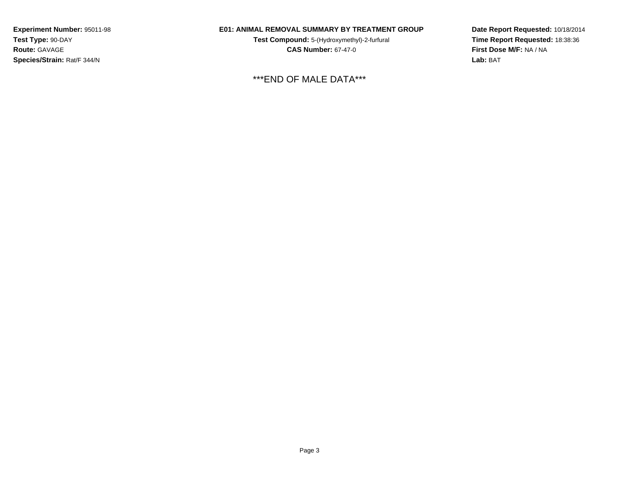## **E01: ANIMAL REMOVAL SUMMARY BY TREATMENT GROUP**

**Test Compound:** 5-(Hydroxymethyl)-2-furfural **CAS Number:** 67-47-0

\*\*\*END OF MALE DATA\*\*\*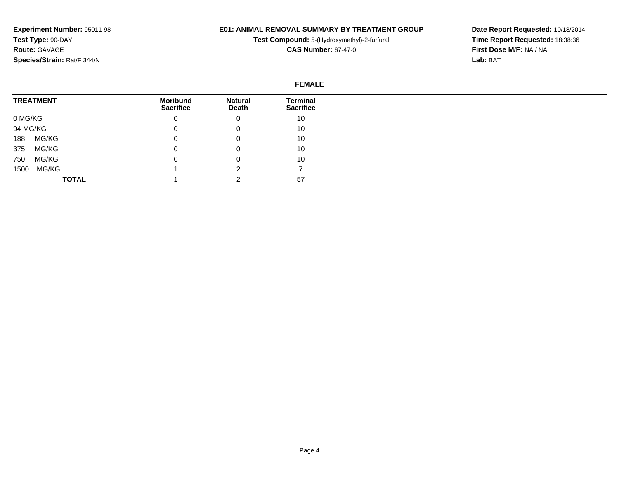#### **E01: ANIMAL REMOVAL SUMMARY BY TREATMENT GROUP**

**Test Compound:** 5-(Hydroxymethyl)-2-furfural

**CAS Number:** 67-47-0

**Date Report Requested:** 10/18/2014**Time Report Requested:** 18:38:36**First Dose M/F:** NA / NA**Lab:** BAT

#### **FEMALETREATMENT**0 MG/KG 94 MG/KG 188 MG/KG 375 MG/KG 750 MG/KG 1500 MG/KG**TOTALMoribund Sacrifice**0 $\overline{0}$  $\overline{0}$  0 $\overline{0}$  1 1**Natural Death**0 0 0 0 0 2 2**Terminal Sacrifice**10 10 10 10 10 757